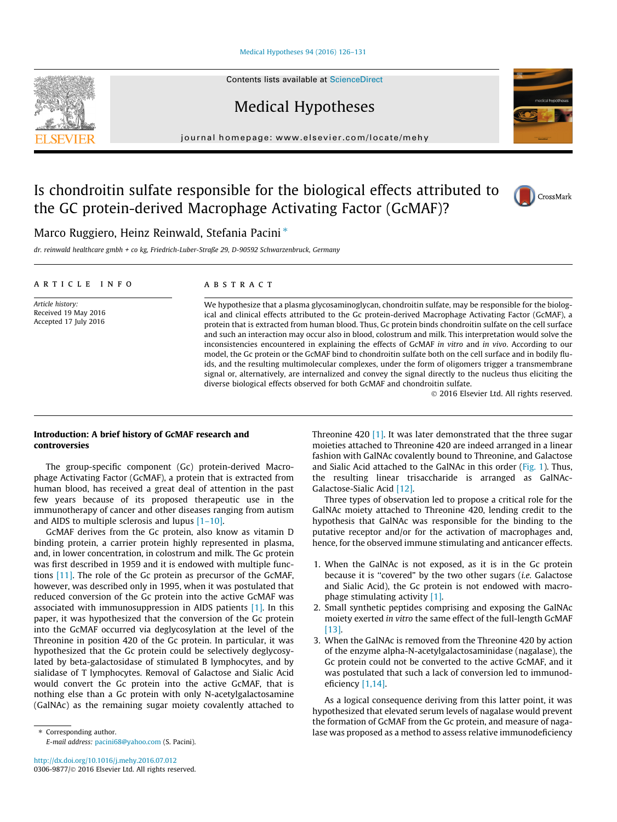#### [Medical Hypotheses 94 \(2016\) 126–131](http://dx.doi.org/10.1016/j.mehy.2016.07.012)

Contents lists available at [ScienceDirect](http://www.sciencedirect.com/science/journal/03069877)

Medical Hypotheses

journal homepage: [www.elsevier.com/locate/mehy](http://www.elsevier.com/locate/mehy)

# Is chondroitin sulfate responsible for the biological effects attributed to the GC protein-derived Macrophage Activating Factor (GcMAF)?

# Marco Ruggiero, Heinz Reinwald, Stefania Pacini  $*$

dr. reinwald healthcare gmbh + co kg, Friedrich-Luber-Straße 29, D-90592 Schwarzenbruck, Germany

#### article info

Article history: Received 19 May 2016 Accepted 17 July 2016

# ABSTRACT

We hypothesize that a plasma glycosaminoglycan, chondroitin sulfate, may be responsible for the biological and clinical effects attributed to the Gc protein-derived Macrophage Activating Factor (GcMAF), a protein that is extracted from human blood. Thus, Gc protein binds chondroitin sulfate on the cell surface and such an interaction may occur also in blood, colostrum and milk. This interpretation would solve the inconsistencies encountered in explaining the effects of GcMAF in vitro and in vivo. According to our model, the Gc protein or the GcMAF bind to chondroitin sulfate both on the cell surface and in bodily fluids, and the resulting multimolecular complexes, under the form of oligomers trigger a transmembrane signal or, alternatively, are internalized and convey the signal directly to the nucleus thus eliciting the diverse biological effects observed for both GcMAF and chondroitin sulfate.

 $©$  2016 Elsevier Ltd. All rights reserved.

# Introduction: A brief history of GcMAF research and controversies

The group-specific component (Gc) protein-derived Macrophage Activating Factor (GcMAF), a protein that is extracted from human blood, has received a great deal of attention in the past few years because of its proposed therapeutic use in the immunotherapy of cancer and other diseases ranging from autism and AIDS to multiple sclerosis and lupus [\[1–10\].](#page-4-0)

GcMAF derives from the Gc protein, also know as vitamin D binding protein, a carrier protein highly represented in plasma, and, in lower concentration, in colostrum and milk. The Gc protein was first described in 1959 and it is endowed with multiple functions [\[11\]](#page-5-0). The role of the Gc protein as precursor of the GcMAF, however, was described only in 1995, when it was postulated that reduced conversion of the Gc protein into the active GcMAF was associated with immunosuppression in AIDS patients [\[1\]](#page-4-0). In this paper, it was hypothesized that the conversion of the Gc protein into the GcMAF occurred via deglycosylation at the level of the Threonine in position 420 of the Gc protein. In particular, it was hypothesized that the Gc protein could be selectively deglycosylated by beta-galactosidase of stimulated B lymphocytes, and by sialidase of T lymphocytes. Removal of Galactose and Sialic Acid would convert the Gc protein into the active GcMAF, that is nothing else than a Gc protein with only N-acetylgalactosamine (GalNAc) as the remaining sugar moiety covalently attached to

⇑ Corresponding author. E-mail address: [pacini68@yahoo.com](mailto:pacini68@yahoo.com) (S. Pacini). Threonine 420  $\left[1\right]$ . It was later demonstrated that the three sugar moieties attached to Threonine 420 are indeed arranged in a linear fashion with GalNAc covalently bound to Threonine, and Galactose and Sialic Acid attached to the GalNAc in this order ([Fig. 1](#page-1-0)). Thus, the resulting linear trisaccharide is arranged as GalNAc-Galactose-Sialic Acid [\[12\]](#page-5-0).

Three types of observation led to propose a critical role for the GalNAc moiety attached to Threonine 420, lending credit to the hypothesis that GalNAc was responsible for the binding to the putative receptor and/or for the activation of macrophages and, hence, for the observed immune stimulating and anticancer effects.

- 1. When the GalNAc is not exposed, as it is in the Gc protein because it is ''covered" by the two other sugars (i.e. Galactose and Sialic Acid), the Gc protein is not endowed with macrophage stimulating activity [\[1\]](#page-4-0).
- 2. Small synthetic peptides comprising and exposing the GalNAc moiety exerted in vitro the same effect of the full-length GcMAF [\[13\]](#page-5-0).
- 3. When the GalNAc is removed from the Threonine 420 by action of the enzyme alpha-N-acetylgalactosaminidase (nagalase), the Gc protein could not be converted to the active GcMAF, and it was postulated that such a lack of conversion led to immunodeficiency [\[1,14\].](#page-4-0)

As a logical consequence deriving from this latter point, it was hypothesized that elevated serum levels of nagalase would prevent the formation of GcMAF from the Gc protein, and measure of nagalase was proposed as a method to assess relative immunodeficiency



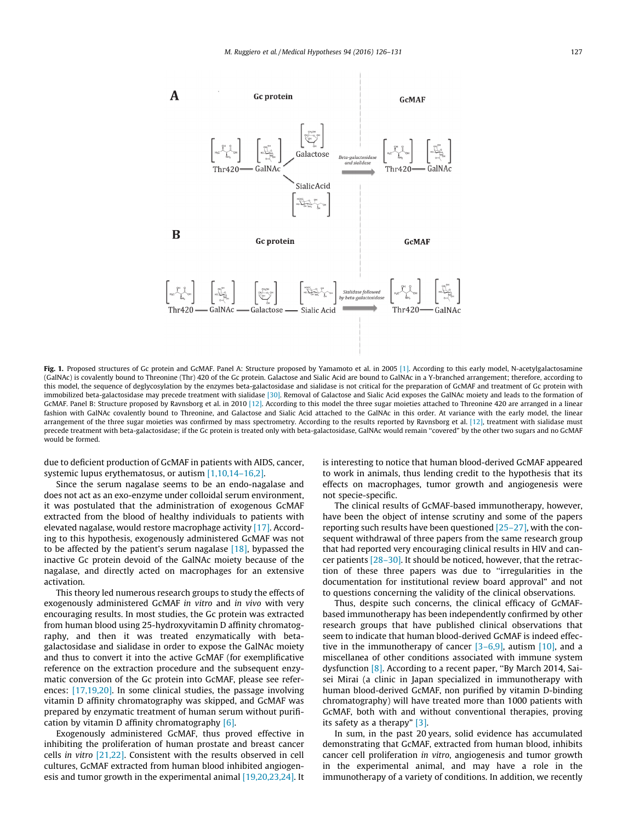<span id="page-1-0"></span>

Fig. 1. Proposed structures of Gc protein and GcMAF. Panel A: Structure proposed by Yamamoto et al. in 2005 [\[1\].](#page-4-0) According to this early model, N-acetylgalactosamine (GalNAc) is covalently bound to Threonine (Thr) 420 of the Gc protein. Galactose and Sialic Acid are bound to GalNAc in a Y-branched arrangement; therefore, according to this model, the sequence of deglycosylation by the enzymes beta-galactosidase and sialidase is not critical for the preparation of GcMAF and treatment of Gc protein with immobilized beta-galactosidase may precede treatment with sialidase [\[30\]](#page-5-0). Removal of Galactose and Sialic Acid exposes the GalNAc moiety and leads to the formation of GcMAF. Panel B: Structure proposed by Ravnsborg et al. in 2010 [\[12\].](#page-5-0) According to this model the three sugar moieties attached to Threonine 420 are arranged in a linear fashion with GalNAc covalently bound to Threonine, and Galactose and Sialic Acid attached to the GalNAc in this order. At variance with the early model, the linear arrangement of the three sugar moieties was confirmed by mass spectrometry. According to the results reported by Ravnsborg et al. [\[12\]](#page-5-0), treatment with sialidase must precede treatment with beta-galactosidase; if the Gc protein is treated only with beta-galactosidase, GalNAc would remain ''covered" by the other two sugars and no GcMAF would be formed.

due to deficient production of GcMAF in patients with AIDS, cancer, systemic lupus erythematosus, or autism [\[1,10,14–16,2\].](#page-4-0)

Since the serum nagalase seems to be an endo-nagalase and does not act as an exo-enzyme under colloidal serum environment, it was postulated that the administration of exogenous GcMAF extracted from the blood of healthy individuals to patients with elevated nagalase, would restore macrophage activity [\[17\]](#page-5-0). According to this hypothesis, exogenously administered GcMAF was not to be affected by the patient's serum nagalase [\[18\],](#page-5-0) bypassed the inactive Gc protein devoid of the GalNAc moiety because of the nagalase, and directly acted on macrophages for an extensive activation.

This theory led numerous research groups to study the effects of exogenously administered GcMAF in vitro and in vivo with very encouraging results. In most studies, the Gc protein was extracted from human blood using 25-hydroxyvitamin D affinity chromatography, and then it was treated enzymatically with betagalactosidase and sialidase in order to expose the GalNAc moiety and thus to convert it into the active GcMAF (for exemplificative reference on the extraction procedure and the subsequent enzymatic conversion of the Gc protein into GcMAF, please see references: [\[17,19,20\]](#page-5-0). In some clinical studies, the passage involving vitamin D affinity chromatography was skipped, and GcMAF was prepared by enzymatic treatment of human serum without purification by vitamin D affinity chromatography [\[6\]](#page-5-0).

Exogenously administered GcMAF, thus proved effective in inhibiting the proliferation of human prostate and breast cancer cells in vitro [\[21,22\].](#page-5-0) Consistent with the results observed in cell cultures, GcMAF extracted from human blood inhibited angiogenesis and tumor growth in the experimental animal [\[19,20,23,24\].](#page-5-0) It is interesting to notice that human blood-derived GcMAF appeared to work in animals, thus lending credit to the hypothesis that its effects on macrophages, tumor growth and angiogenesis were not specie-specific.

The clinical results of GcMAF-based immunotherapy, however, have been the object of intense scrutiny and some of the papers reporting such results have been questioned [\[25–27\],](#page-5-0) with the consequent withdrawal of three papers from the same research group that had reported very encouraging clinical results in HIV and cancer patients  $[28-30]$ . It should be noticed, however, that the retraction of these three papers was due to ''irregularities in the documentation for institutional review board approval" and not to questions concerning the validity of the clinical observations.

Thus, despite such concerns, the clinical efficacy of GcMAFbased immunotherapy has been independently confirmed by other research groups that have published clinical observations that seem to indicate that human blood-derived GcMAF is indeed effective in the immunotherapy of cancer [\[3–6,9\],](#page-4-0) autism [\[10\],](#page-5-0) and a miscellanea of other conditions associated with immune system dysfunction [\[8\]](#page-5-0). According to a recent paper, ''By March 2014, Saisei Mirai (a clinic in Japan specialized in immunotherapy with human blood-derived GcMAF, non purified by vitamin D-binding chromatography) will have treated more than 1000 patients with GcMAF, both with and without conventional therapies, proving its safety as a therapy" [\[3\].](#page-4-0)

In sum, in the past 20 years, solid evidence has accumulated demonstrating that GcMAF, extracted from human blood, inhibits cancer cell proliferation in vitro, angiogenesis and tumor growth in the experimental animal, and may have a role in the immunotherapy of a variety of conditions. In addition, we recently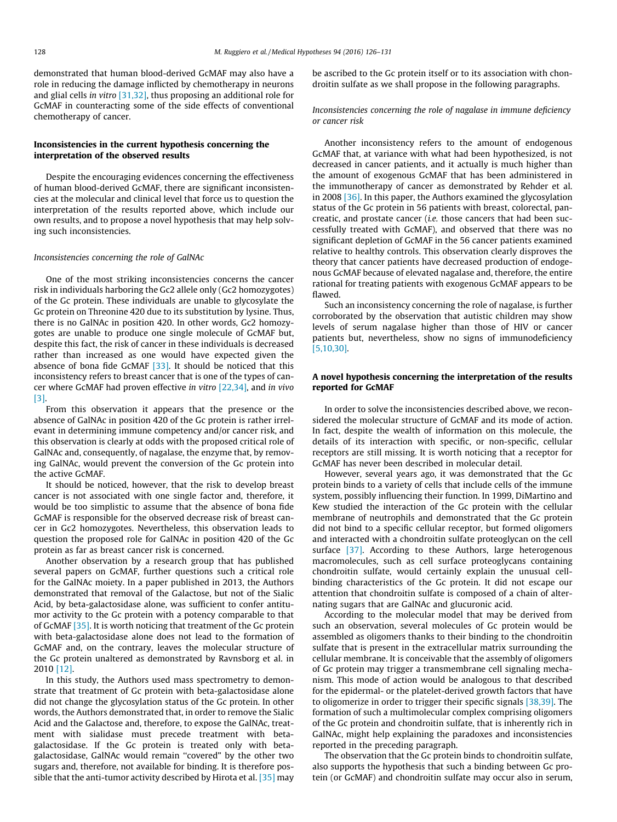demonstrated that human blood-derived GcMAF may also have a role in reducing the damage inflicted by chemotherapy in neurons and glial cells in vitro [\[31,32\],](#page-5-0) thus proposing an additional role for GcMAF in counteracting some of the side effects of conventional chemotherapy of cancer.

# Inconsistencies in the current hypothesis concerning the interpretation of the observed results

Despite the encouraging evidences concerning the effectiveness of human blood-derived GcMAF, there are significant inconsistencies at the molecular and clinical level that force us to question the interpretation of the results reported above, which include our own results, and to propose a novel hypothesis that may help solving such inconsistencies.

#### Inconsistencies concerning the role of GalNAc

One of the most striking inconsistencies concerns the cancer risk in individuals harboring the Gc2 allele only (Gc2 homozygotes) of the Gc protein. These individuals are unable to glycosylate the Gc protein on Threonine 420 due to its substitution by lysine. Thus, there is no GalNAc in position 420. In other words, Gc2 homozygotes are unable to produce one single molecule of GcMAF but, despite this fact, the risk of cancer in these individuals is decreased rather than increased as one would have expected given the absence of bona fide GcMAF [\[33\].](#page-5-0) It should be noticed that this inconsistency refers to breast cancer that is one of the types of cancer where GcMAF had proven effective in vitro [\[22,34\]](#page-5-0), and in vivo [\[3\]](#page-4-0).

From this observation it appears that the presence or the absence of GalNAc in position 420 of the Gc protein is rather irrelevant in determining immune competency and/or cancer risk, and this observation is clearly at odds with the proposed critical role of GalNAc and, consequently, of nagalase, the enzyme that, by removing GalNAc, would prevent the conversion of the Gc protein into the active GcMAF.

It should be noticed, however, that the risk to develop breast cancer is not associated with one single factor and, therefore, it would be too simplistic to assume that the absence of bona fide GcMAF is responsible for the observed decrease risk of breast cancer in Gc2 homozygotes. Nevertheless, this observation leads to question the proposed role for GalNAc in position 420 of the Gc protein as far as breast cancer risk is concerned.

Another observation by a research group that has published several papers on GcMAF, further questions such a critical role for the GalNAc moiety. In a paper published in 2013, the Authors demonstrated that removal of the Galactose, but not of the Sialic Acid, by beta-galactosidase alone, was sufficient to confer antitumor activity to the Gc protein with a potency comparable to that of GcMAF [\[35\]](#page-5-0). It is worth noticing that treatment of the Gc protein with beta-galactosidase alone does not lead to the formation of GcMAF and, on the contrary, leaves the molecular structure of the Gc protein unaltered as demonstrated by Ravnsborg et al. in 2010 [\[12\].](#page-5-0)

In this study, the Authors used mass spectrometry to demonstrate that treatment of Gc protein with beta-galactosidase alone did not change the glycosylation status of the Gc protein. In other words, the Authors demonstrated that, in order to remove the Sialic Acid and the Galactose and, therefore, to expose the GalNAc, treatment with sialidase must precede treatment with betagalactosidase. If the Gc protein is treated only with betagalactosidase, GalNAc would remain ''covered" by the other two sugars and, therefore, not available for binding. It is therefore possible that the anti-tumor activity described by Hirota et al. [\[35\]](#page-5-0) may be ascribed to the Gc protein itself or to its association with chondroitin sulfate as we shall propose in the following paragraphs.

Inconsistencies concerning the role of nagalase in immune deficiency or cancer risk

Another inconsistency refers to the amount of endogenous GcMAF that, at variance with what had been hypothesized, is not decreased in cancer patients, and it actually is much higher than the amount of exogenous GcMAF that has been administered in the immunotherapy of cancer as demonstrated by Rehder et al. in 2008 [\[36\].](#page-5-0) In this paper, the Authors examined the glycosylation status of the Gc protein in 56 patients with breast, colorectal, pancreatic, and prostate cancer (i.e. those cancers that had been successfully treated with GcMAF), and observed that there was no significant depletion of GcMAF in the 56 cancer patients examined relative to healthy controls. This observation clearly disproves the theory that cancer patients have decreased production of endogenous GcMAF because of elevated nagalase and, therefore, the entire rational for treating patients with exogenous GcMAF appears to be flawed.

Such an inconsistency concerning the role of nagalase, is further corroborated by the observation that autistic children may show levels of serum nagalase higher than those of HIV or cancer patients but, nevertheless, show no signs of immunodeficiency [\[5,10,30\]](#page-5-0).

# A novel hypothesis concerning the interpretation of the results reported for GcMAF

In order to solve the inconsistencies described above, we reconsidered the molecular structure of GcMAF and its mode of action. In fact, despite the wealth of information on this molecule, the details of its interaction with specific, or non-specific, cellular receptors are still missing. It is worth noticing that a receptor for GcMAF has never been described in molecular detail.

However, several years ago, it was demonstrated that the Gc protein binds to a variety of cells that include cells of the immune system, possibly influencing their function. In 1999, DiMartino and Kew studied the interaction of the Gc protein with the cellular membrane of neutrophils and demonstrated that the Gc protein did not bind to a specific cellular receptor, but formed oligomers and interacted with a chondroitin sulfate proteoglycan on the cell surface [\[37\].](#page-5-0) According to these Authors, large heterogenous macromolecules, such as cell surface proteoglycans containing chondroitin sulfate, would certainly explain the unusual cellbinding characteristics of the Gc protein. It did not escape our attention that chondroitin sulfate is composed of a chain of alternating sugars that are GalNAc and glucuronic acid.

According to the molecular model that may be derived from such an observation, several molecules of Gc protein would be assembled as oligomers thanks to their binding to the chondroitin sulfate that is present in the extracellular matrix surrounding the cellular membrane. It is conceivable that the assembly of oligomers of Gc protein may trigger a transmembrane cell signaling mechanism. This mode of action would be analogous to that described for the epidermal- or the platelet-derived growth factors that have to oligomerize in order to trigger their specific signals [\[38,39\].](#page-5-0) The formation of such a multimolecular complex comprising oligomers of the Gc protein and chondroitin sulfate, that is inherently rich in GalNAc, might help explaining the paradoxes and inconsistencies reported in the preceding paragraph.

The observation that the Gc protein binds to chondroitin sulfate, also supports the hypothesis that such a binding between Gc protein (or GcMAF) and chondroitin sulfate may occur also in serum,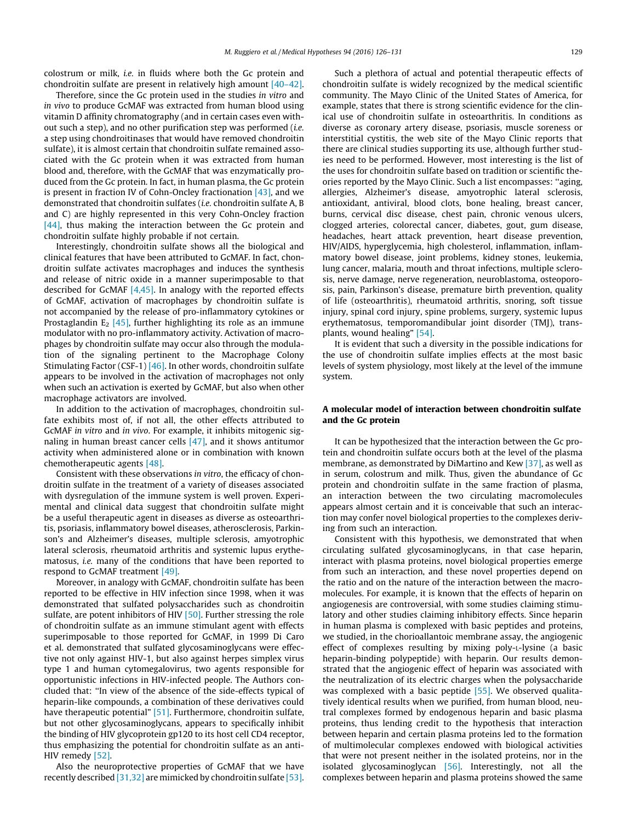colostrum or milk, i.e. in fluids where both the Gc protein and chondroitin sulfate are present in relatively high amount [\[40–42\].](#page-5-0)

Therefore, since the Gc protein used in the studies in vitro and in vivo to produce GcMAF was extracted from human blood using vitamin D affinity chromatography (and in certain cases even without such a step), and no other purification step was performed (i.e. a step using chondroitinases that would have removed chondroitin sulfate), it is almost certain that chondroitin sulfate remained associated with the Gc protein when it was extracted from human blood and, therefore, with the GcMAF that was enzymatically produced from the Gc protein. In fact, in human plasma, the Gc protein is present in fraction IV of Cohn-Oncley fractionation  $[43]$ , and we demonstrated that chondroitin sulfates (i.e. chondroitin sulfate A, B and C) are highly represented in this very Cohn-Oncley fraction [\[44\],](#page-5-0) thus making the interaction between the Gc protein and chondroitin sulfate highly probable if not certain.

Interestingly, chondroitin sulfate shows all the biological and clinical features that have been attributed to GcMAF. In fact, chondroitin sulfate activates macrophages and induces the synthesis and release of nitric oxide in a manner superimposable to that described for GcMAF [\[4,45\]](#page-5-0). In analogy with the reported effects of GcMAF, activation of macrophages by chondroitin sulfate is not accompanied by the release of pro-inflammatory cytokines or Prostaglandin  $E_2$  [\[45\]](#page-5-0), further highlighting its role as an immune modulator with no pro-inflammatory activity. Activation of macrophages by chondroitin sulfate may occur also through the modulation of the signaling pertinent to the Macrophage Colony Stimulating Factor (CSF-1)  $[46]$ . In other words, chondroitin sulfate appears to be involved in the activation of macrophages not only when such an activation is exerted by GcMAF, but also when other macrophage activators are involved.

In addition to the activation of macrophages, chondroitin sulfate exhibits most of, if not all, the other effects attributed to GcMAF in vitro and in vivo. For example, it inhibits mitogenic signaling in human breast cancer cells [\[47\]](#page-5-0), and it shows antitumor activity when administered alone or in combination with known chemotherapeutic agents [\[48\]](#page-5-0).

Consistent with these observations in vitro, the efficacy of chondroitin sulfate in the treatment of a variety of diseases associated with dysregulation of the immune system is well proven. Experimental and clinical data suggest that chondroitin sulfate might be a useful therapeutic agent in diseases as diverse as osteoarthritis, psoriasis, inflammatory bowel diseases, atherosclerosis, Parkinson's and Alzheimer's diseases, multiple sclerosis, amyotrophic lateral sclerosis, rheumatoid arthritis and systemic lupus erythematosus, i.e. many of the conditions that have been reported to respond to GcMAF treatment [\[49\]](#page-5-0).

Moreover, in analogy with GcMAF, chondroitin sulfate has been reported to be effective in HIV infection since 1998, when it was demonstrated that sulfated polysaccharides such as chondroitin sulfate, are potent inhibitors of HIV  $[50]$ . Further stressing the role of chondroitin sulfate as an immune stimulant agent with effects superimposable to those reported for GcMAF, in 1999 Di Caro et al. demonstrated that sulfated glycosaminoglycans were effective not only against HIV-1, but also against herpes simplex virus type 1 and human cytomegalovirus, two agents responsible for opportunistic infections in HIV-infected people. The Authors concluded that: ''In view of the absence of the side-effects typical of heparin-like compounds, a combination of these derivatives could have therapeutic potential" [\[51\].](#page-5-0) Furthermore, chondroitin sulfate, but not other glycosaminoglycans, appears to specifically inhibit the binding of HIV glycoprotein gp120 to its host cell CD4 receptor, thus emphasizing the potential for chondroitin sulfate as an anti-HIV remedy [\[52\]](#page-5-0).

Also the neuroprotective properties of GcMAF that we have recently described [\[31,32\]](#page-5-0) are mimicked by chondroitin sulfate [\[53\].](#page-5-0)

Such a plethora of actual and potential therapeutic effects of chondroitin sulfate is widely recognized by the medical scientific community. The Mayo Clinic of the United States of America, for example, states that there is strong scientific evidence for the clinical use of chondroitin sulfate in osteoarthritis. In conditions as diverse as coronary artery disease, psoriasis, muscle soreness or interstitial cystitis, the web site of the Mayo Clinic reports that there are clinical studies supporting its use, although further studies need to be performed. However, most interesting is the list of the uses for chondroitin sulfate based on tradition or scientific theories reported by the Mayo Clinic. Such a list encompasses: ''aging, allergies, Alzheimer's disease, amyotrophic lateral sclerosis, antioxidant, antiviral, blood clots, bone healing, breast cancer, burns, cervical disc disease, chest pain, chronic venous ulcers, clogged arteries, colorectal cancer, diabetes, gout, gum disease, headaches, heart attack prevention, heart disease prevention, HIV/AIDS, hyperglycemia, high cholesterol, inflammation, inflammatory bowel disease, joint problems, kidney stones, leukemia, lung cancer, malaria, mouth and throat infections, multiple sclerosis, nerve damage, nerve regeneration, neuroblastoma, osteoporosis, pain, Parkinson's disease, premature birth prevention, quality of life (osteoarthritis), rheumatoid arthritis, snoring, soft tissue injury, spinal cord injury, spine problems, surgery, systemic lupus erythematosus, temporomandibular joint disorder (TMJ), transplants, wound healing" [\[54\].](#page-5-0)

It is evident that such a diversity in the possible indications for the use of chondroitin sulfate implies effects at the most basic levels of system physiology, most likely at the level of the immune system.

# A molecular model of interaction between chondroitin sulfate and the Gc protein

It can be hypothesized that the interaction between the Gc protein and chondroitin sulfate occurs both at the level of the plasma membrane, as demonstrated by DiMartino and Kew [\[37\],](#page-5-0) as well as in serum, colostrum and milk. Thus, given the abundance of Gc protein and chondroitin sulfate in the same fraction of plasma, an interaction between the two circulating macromolecules appears almost certain and it is conceivable that such an interaction may confer novel biological properties to the complexes deriving from such an interaction.

Consistent with this hypothesis, we demonstrated that when circulating sulfated glycosaminoglycans, in that case heparin, interact with plasma proteins, novel biological properties emerge from such an interaction, and these novel properties depend on the ratio and on the nature of the interaction between the macromolecules. For example, it is known that the effects of heparin on angiogenesis are controversial, with some studies claiming stimulatory and other studies claiming inhibitory effects. Since heparin in human plasma is complexed with basic peptides and proteins, we studied, in the chorioallantoic membrane assay, the angiogenic effect of complexes resulting by mixing poly-L-lysine (a basic heparin-binding polypeptide) with heparin. Our results demonstrated that the angiogenic effect of heparin was associated with the neutralization of its electric charges when the polysaccharide was complexed with a basic peptide [\[55\].](#page-5-0) We observed qualitatively identical results when we purified, from human blood, neutral complexes formed by endogenous heparin and basic plasma proteins, thus lending credit to the hypothesis that interaction between heparin and certain plasma proteins led to the formation of multimolecular complexes endowed with biological activities that were not present neither in the isolated proteins, nor in the isolated glycosaminoglycan [\[56\].](#page-5-0) Interestingly, not all the complexes between heparin and plasma proteins showed the same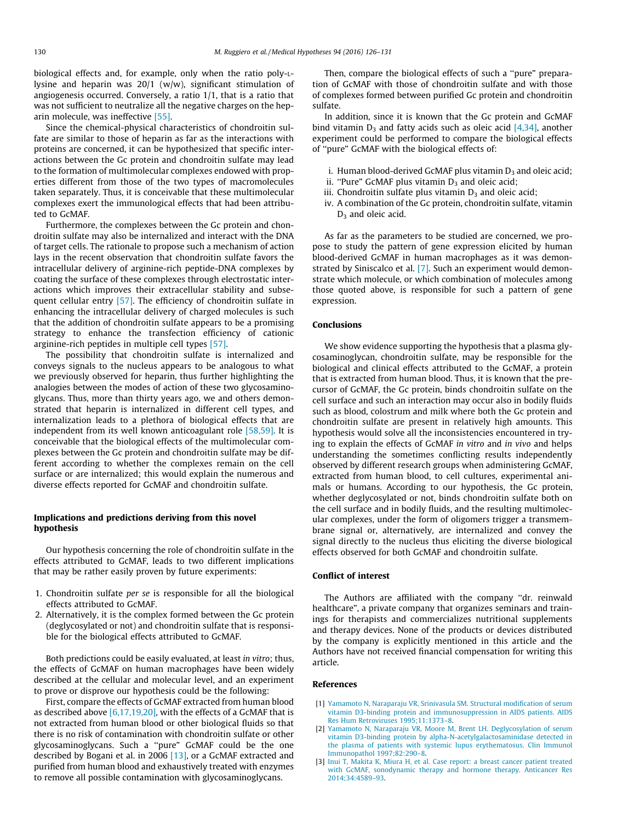<span id="page-4-0"></span>biological effects and, for example, only when the ratio poly-Llysine and heparin was  $20/1$  (w/w), significant stimulation of angiogenesis occurred. Conversely, a ratio 1/1, that is a ratio that was not sufficient to neutralize all the negative charges on the heparin molecule, was ineffective [\[55\]](#page-5-0).

Since the chemical-physical characteristics of chondroitin sulfate are similar to those of heparin as far as the interactions with proteins are concerned, it can be hypothesized that specific interactions between the Gc protein and chondroitin sulfate may lead to the formation of multimolecular complexes endowed with properties different from those of the two types of macromolecules taken separately. Thus, it is conceivable that these multimolecular complexes exert the immunological effects that had been attributed to GcMAF.

Furthermore, the complexes between the Gc protein and chondroitin sulfate may also be internalized and interact with the DNA of target cells. The rationale to propose such a mechanism of action lays in the recent observation that chondroitin sulfate favors the intracellular delivery of arginine-rich peptide-DNA complexes by coating the surface of these complexes through electrostatic interactions which improves their extracellular stability and subsequent cellular entry [\[57\]](#page-5-0). The efficiency of chondroitin sulfate in enhancing the intracellular delivery of charged molecules is such that the addition of chondroitin sulfate appears to be a promising strategy to enhance the transfection efficiency of cationic arginine-rich peptides in multiple cell types [\[57\]](#page-5-0).

The possibility that chondroitin sulfate is internalized and conveys signals to the nucleus appears to be analogous to what we previously observed for heparin, thus further highlighting the analogies between the modes of action of these two glycosaminoglycans. Thus, more than thirty years ago, we and others demonstrated that heparin is internalized in different cell types, and internalization leads to a plethora of biological effects that are independent from its well known anticoagulant role [\[58,59\]](#page-5-0). It is conceivable that the biological effects of the multimolecular complexes between the Gc protein and chondroitin sulfate may be different according to whether the complexes remain on the cell surface or are internalized; this would explain the numerous and diverse effects reported for GcMAF and chondroitin sulfate.

# Implications and predictions deriving from this novel hypothesis

Our hypothesis concerning the role of chondroitin sulfate in the effects attributed to GcMAF, leads to two different implications that may be rather easily proven by future experiments:

- 1. Chondroitin sulfate per se is responsible for all the biological effects attributed to GcMAF.
- 2. Alternatively, it is the complex formed between the Gc protein (deglycosylated or not) and chondroitin sulfate that is responsible for the biological effects attributed to GcMAF.

Both predictions could be easily evaluated, at least in vitro; thus, the effects of GcMAF on human macrophages have been widely described at the cellular and molecular level, and an experiment to prove or disprove our hypothesis could be the following:

First, compare the effects of GcMAF extracted from human blood as described above  $[6,17,19,20]$ , with the effects of a GcMAF that is not extracted from human blood or other biological fluids so that there is no risk of contamination with chondroitin sulfate or other glycosaminoglycans. Such a ''pure" GcMAF could be the one described by Bogani et al. in 2006 [\[13\]](#page-5-0), or a GcMAF extracted and purified from human blood and exhaustively treated with enzymes to remove all possible contamination with glycosaminoglycans.

Then, compare the biological effects of such a ''pure" preparation of GcMAF with those of chondroitin sulfate and with those of complexes formed between purified Gc protein and chondroitin sulfate.

In addition, since it is known that the Gc protein and GcMAF bind vitamin  $D_3$  and fatty acids such as oleic acid [\[4,34\],](#page-5-0) another experiment could be performed to compare the biological effects of ''pure" GcMAF with the biological effects of:

- i. Human blood-derived GcMAF plus vitamin  $D_3$  and oleic acid;
- ii. "Pure" GcMAF plus vitamin  $D_3$  and oleic acid;
- iii. Chondroitin sulfate plus vitamin  $D_3$  and oleic acid;
- iv. A combination of the Gc protein, chondroitin sulfate, vitamin  $D_3$  and oleic acid.

As far as the parameters to be studied are concerned, we propose to study the pattern of gene expression elicited by human blood-derived GcMAF in human macrophages as it was demonstrated by Siniscalco et al. [\[7\].](#page-5-0) Such an experiment would demonstrate which molecule, or which combination of molecules among those quoted above, is responsible for such a pattern of gene expression.

#### Conclusions

We show evidence supporting the hypothesis that a plasma glycosaminoglycan, chondroitin sulfate, may be responsible for the biological and clinical effects attributed to the GcMAF, a protein that is extracted from human blood. Thus, it is known that the precursor of GcMAF, the Gc protein, binds chondroitin sulfate on the cell surface and such an interaction may occur also in bodily fluids such as blood, colostrum and milk where both the Gc protein and chondroitin sulfate are present in relatively high amounts. This hypothesis would solve all the inconsistencies encountered in trying to explain the effects of GcMAF in vitro and in vivo and helps understanding the sometimes conflicting results independently observed by different research groups when administering GcMAF, extracted from human blood, to cell cultures, experimental animals or humans. According to our hypothesis, the Gc protein, whether deglycosylated or not, binds chondroitin sulfate both on the cell surface and in bodily fluids, and the resulting multimolecular complexes, under the form of oligomers trigger a transmembrane signal or, alternatively, are internalized and convey the signal directly to the nucleus thus eliciting the diverse biological effects observed for both GcMAF and chondroitin sulfate.

# Conflict of interest

The Authors are affiliated with the company ''dr. reinwald healthcare", a private company that organizes seminars and trainings for therapists and commercializes nutritional supplements and therapy devices. None of the products or devices distributed by the company is explicitly mentioned in this article and the Authors have not received financial compensation for writing this article.

# References

- [1] [Yamamoto N, Naraparaju VR, Srinivasula SM. Structural modification of serum](http://refhub.elsevier.com/S0306-9877(16)30151-7/h0005) [vitamin D3-binding protein and immunosuppression in AIDS patients. AIDS](http://refhub.elsevier.com/S0306-9877(16)30151-7/h0005) [Res Hum Retroviruses 1995;11:1373–8](http://refhub.elsevier.com/S0306-9877(16)30151-7/h0005).
- [2] [Yamamoto N, Naraparaju VR, Moore M, Brent LH. Deglycosylation of serum](http://refhub.elsevier.com/S0306-9877(16)30151-7/h0010) [vitamin D3-binding protein by alpha-N-acetylgalactosaminidase detected in](http://refhub.elsevier.com/S0306-9877(16)30151-7/h0010) [the plasma of patients with systemic lupus erythematosus. Clin Immunol](http://refhub.elsevier.com/S0306-9877(16)30151-7/h0010) [Immunopathol 1997;82:290–8](http://refhub.elsevier.com/S0306-9877(16)30151-7/h0010).
- [3] [Inui T, Makita K, Miura H, et al. Case report: a breast cancer patient treated](http://refhub.elsevier.com/S0306-9877(16)30151-7/h0015) [with GcMAF, sonodynamic therapy and hormone therapy. Anticancer Res](http://refhub.elsevier.com/S0306-9877(16)30151-7/h0015) [2014;34:4589–93.](http://refhub.elsevier.com/S0306-9877(16)30151-7/h0015)